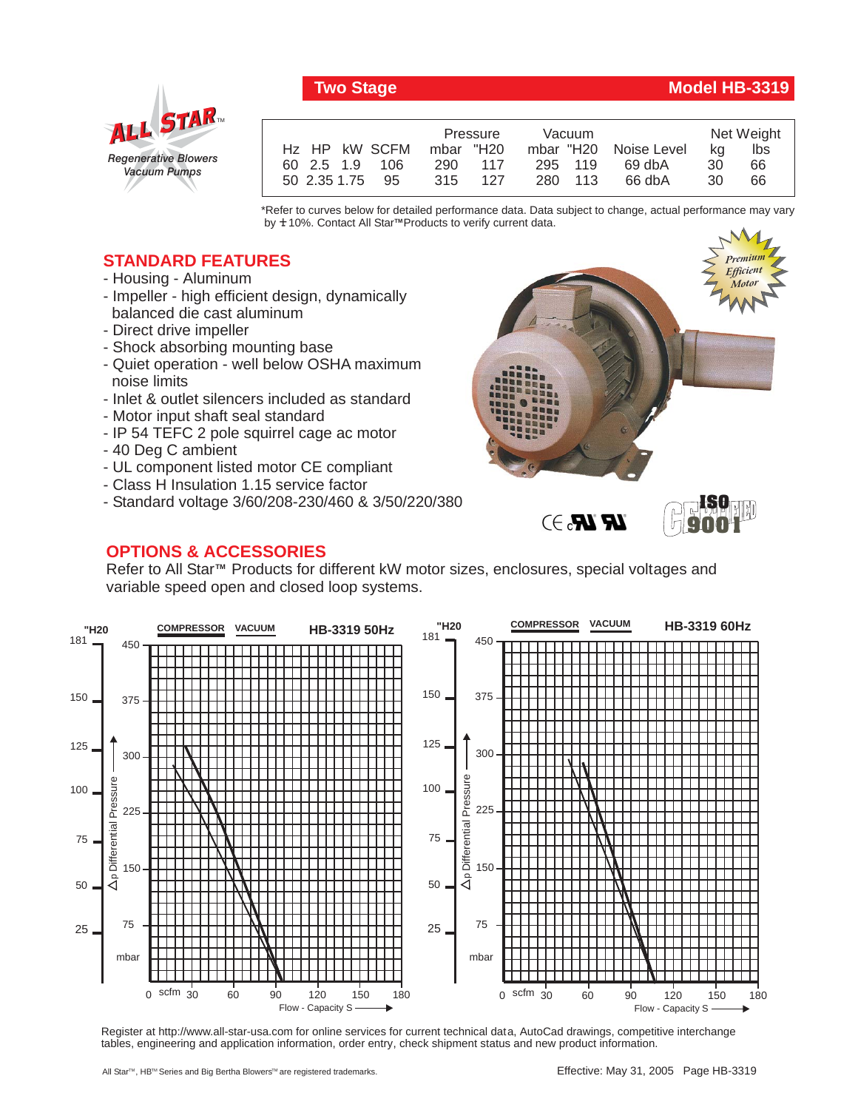

## Two Stage Model HB-3319

|                 | Pressure  | Vacuum  | Net Weight            |     |     |
|-----------------|-----------|---------|-----------------------|-----|-----|
| Hz HP kW SCFM   | mbar "H20 |         | mbar "H20 Noise Level | ka  | lbs |
| 60 2.5 1.9 106  | 290 117   | 295 119 | 69 dbA                | -30 | 66  |
| 50 2.35 1.75 95 | 315 127   | 280 113 | 66 dbA                | -30 | 66  |

\*Refer to curves below for detailed performance data. Data subject to change, actual performance may vary by **+** 10%. Contact All Star™Products to verify current data.

## **STANDARD FEATURES**

- Housing Aluminum
- Impeller high efficient design, dynamically balanced die cast aluminum
- Direct drive impeller
- Shock absorbing mounting base
- Quiet operation well below OSHA maximum noise limits
- Inlet & outlet silencers included as standard
- Motor input shaft seal standard
- IP 54 TEFC 2 pole squirrel cage ac motor
- 40 Deg C ambient
- UL component listed motor CE compliant
- Class H Insulation 1.15 service factor
- Standard voltage 3/60/208-230/460 & 3/50/220/380

## **OPTIONS & ACCESSORIES**

*Premium Efficient Motor Premium Efficient Motor*

 $\bm{R} \bm{R}$ . $\bm{\Theta}$ 



Refer to All Star<sup>™</sup> Products for different kW motor sizes, enclosures, special voltages and variable speed open and closed loop systems.



Register at http://www.all-star-usa.com for online services for current technical data, AutoCad drawings, competitive interchange tables, engineering and application information, order entry, check shipment status and new product information.